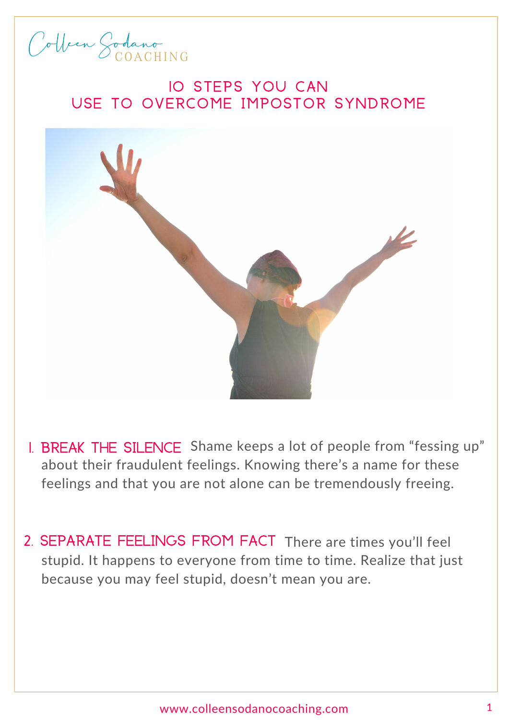## Colleen Sodano C OACHI N G

## **10 STEPS YOU CAN** USE TO OVERCOME IMPOSTOR SYNDROME



- I. BREAK THE SILENCE Shame keeps a lot of people from "fessing up" about their fraudulent feelings. Knowing there's a name for these feelings and that you are not alone can be tremendously freeing.
- 2. SEPARATE FEELINGS FROM FACT There are times you'll feel stupid. It happens to everyone from time to time. Realize that just because you may feel stupid, doesn't mean you are.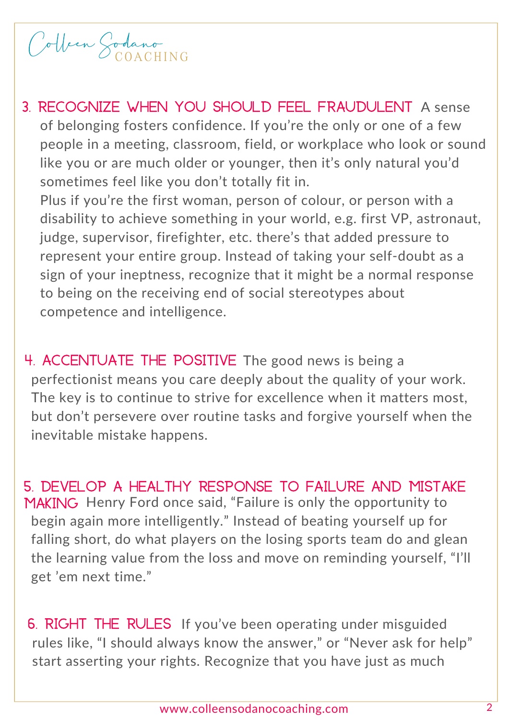## Colleen Sodano C OACHI N G

- 3. Recognize when you should feel fraudulent A sense of belonging fosters confidence. If you're the only or one of a few people in a meeting, classroom, field, or workplace who look or sound like you or are much older or younger, then it's only natural you'd sometimes feel like you don't totally fit in. Plus if you're the first woman, person of colour, or person with a disability to achieve something in your world, e.g. first VP, astronaut, judge, supervisor, firefighter, etc. there's that added pressure to represent your entire group. Instead of taking your self-doubt as a sign of your ineptness, recognize that it might be a normal response
	- to being on the receiving end of social stereotypes about competence and intelligence.
- 4. ACCENTUATE THE POSITIVE The good news is being a perfectionist means you care deeply about the quality of your work. The key is to continue to strive for excellence when it matters most, but don't persevere over routine tasks and forgive yourself when the inevitable mistake happens.
- 5. Develop a healthy response to failure and mistake MAKING Henry Ford once said, "Failure is only the opportunity to begin again more intelligently." Instead of beating yourself up for falling short, do what players on the losing sports team do and glean the learning value from the loss and move on reminding yourself, "I'll get 'em next time."
- 6. RIGHT THE RULES If you've been operating under misguided rules like, "I should always know the answer," or "Never ask for help" start asserting your rights. Recognize that you have just as much